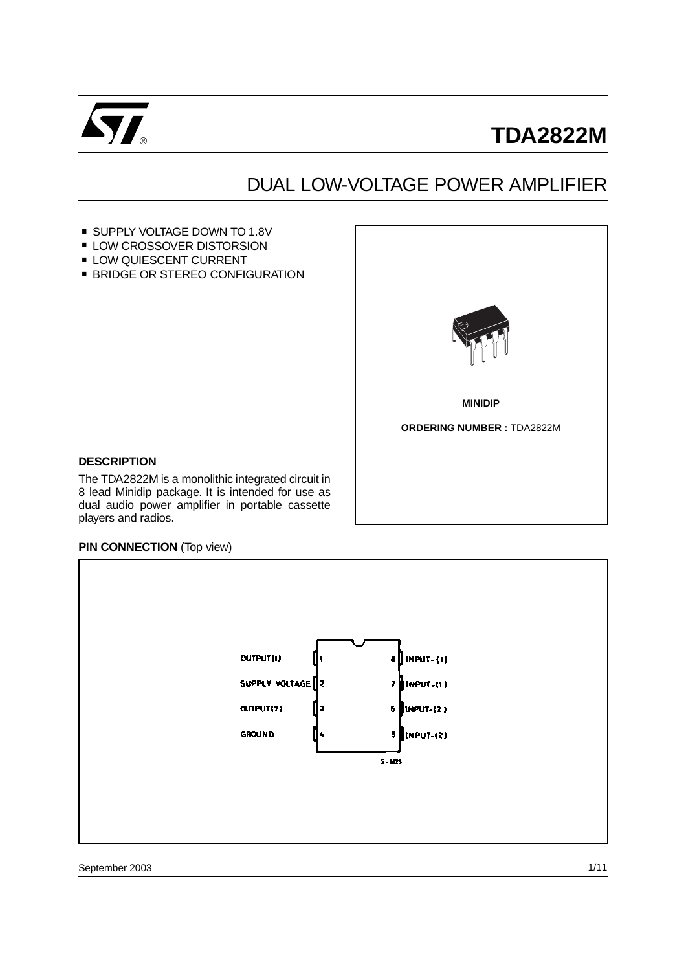

# **TDA2822M**

## DUAL LOW-VOLTAGE POWER AMPLIFIER

- SUPPLY VOLTAGE DOWN TO 1.8V ■ SUPPLY VOLTAGE DOWN TO 1.8<br>■ LOW CROSSOVER DISTORSION
- LOW CROSSOVER DISTORSION<br>LOW QUIESCENT CURRENT
- 
- **BRIDGE OR STEREO CONFIGURATION**



## **DESCRIPTION**

The TDA2822M is a monolithic integrated circuit in 8 lead Minidip package. It is intended for use as dual audio power amplifier in portable cassette players and radios.

#### **PIN CONNECTION** (Top view)

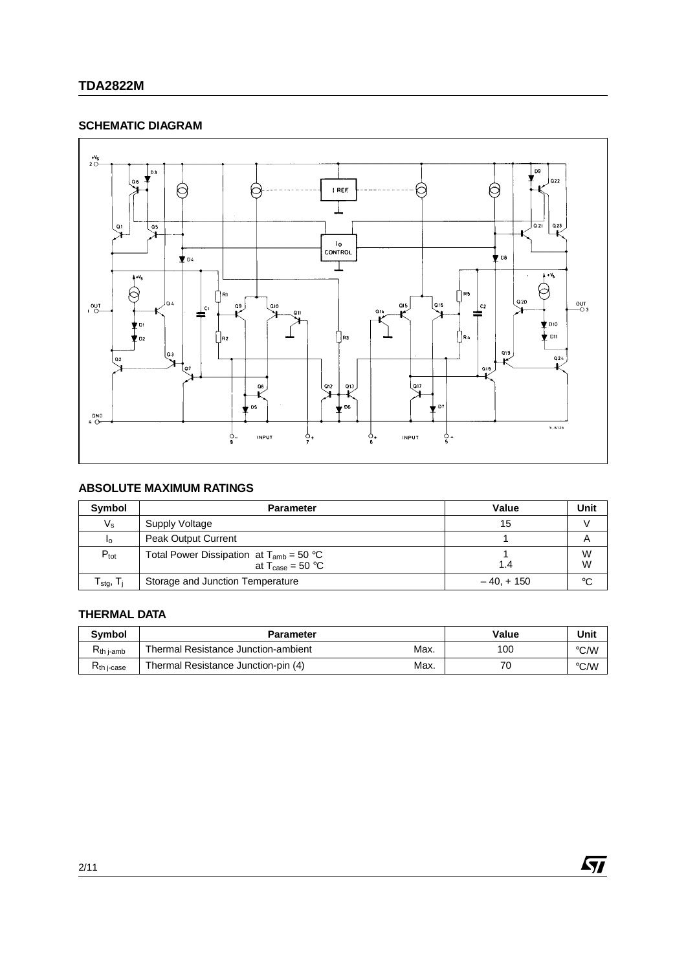## **SCHEMATIC DIAGRAM**



## **ABSOLUTE MAXIMUM RATINGS**

| Symbol                                         | <b>Parameter</b>                                                                     | Value       | Unit         |
|------------------------------------------------|--------------------------------------------------------------------------------------|-------------|--------------|
| $V_{\rm s}$                                    | Supply Voltage                                                                       | 15          |              |
| Ιo                                             | <b>Peak Output Current</b>                                                           |             |              |
| $P_{\text{tot}}$                               | Total Power Dissipation at $T_{amb} = 50$ °C<br>at $T_{\text{case}} = 50 \text{ °C}$ | 1.4         | W<br>W       |
| $\Gamma_{\text{sta}},\, \mathsf{T}_\mathsf{i}$ | Storage and Junction Temperature                                                     | $-40, +150$ | $^{\circ}$ C |

## **THERMAL DATA**

| <b>Symbol</b>     | <b>Parameter</b>                            | Value | Unit |
|-------------------|---------------------------------------------|-------|------|
| Kth j-amb         | Max.<br>Thermal Resistance Junction-ambient | 10C   | °C/W |
| <b>Kth</b> j-case | Max.<br>Thermal Resistance Junction-pin (4) | 70    | °C/W |

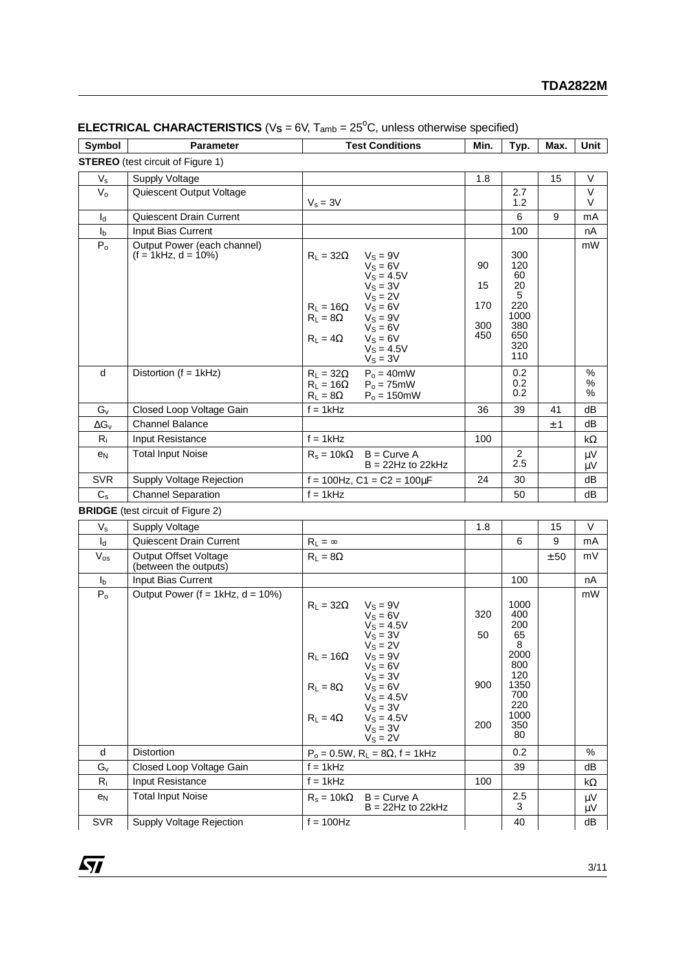| Symbol                                   | <b>Parameter</b>                                      | <b>Test Conditions</b>                                                                                                                                                                                                                                                           | Min.                          | Typ.                                                                                           | Max. | Unit           |  |  |
|------------------------------------------|-------------------------------------------------------|----------------------------------------------------------------------------------------------------------------------------------------------------------------------------------------------------------------------------------------------------------------------------------|-------------------------------|------------------------------------------------------------------------------------------------|------|----------------|--|--|
| <b>STEREO</b> (test circuit of Figure 1) |                                                       |                                                                                                                                                                                                                                                                                  |                               |                                                                                                |      |                |  |  |
| $V_{\tt S}$                              | <b>Supply Voltage</b>                                 |                                                                                                                                                                                                                                                                                  | 1.8                           |                                                                                                | 15   | V              |  |  |
| $V_{o}$                                  | Quiescent Output Voltage                              | $V_s = 3V$                                                                                                                                                                                                                                                                       |                               | 2.7<br>1.2                                                                                     |      | V<br>V         |  |  |
| $I_d$                                    | Quiescent Drain Current                               |                                                                                                                                                                                                                                                                                  |                               | 6                                                                                              | 9    | mA             |  |  |
| I <sub>b</sub>                           | Input Bias Current                                    |                                                                                                                                                                                                                                                                                  |                               | 100                                                                                            |      | nA             |  |  |
| P <sub>o</sub>                           | Output Power (each channel)<br>$(f = 1kHz, d = 10\%)$ | $R_L = 32\Omega$<br>$V_S = 9V$<br>$V_S = 6V$<br>$V_S = 4.5V$<br>$V_S = 3V$<br>$V_S = 2V$<br>$R_L = 16\Omega$<br>$V_S = 6V$<br>$R_L = 8\Omega$<br>$V_S = 9V$<br>$V_S = 6V$<br>$R_L = 4\Omega$<br>$V_S = 6V$<br>$V_S = 4.5V$<br>$V_S = 3V$                                         | 90<br>15<br>170<br>300<br>450 | 300<br>120<br>60<br>20<br>5<br>220<br>1000<br>380<br>650<br>320<br>110                         |      | mW             |  |  |
| d                                        | Distortion (f = 1kHz)                                 | $P_0 = 40$ mW<br>$R_L = 32\Omega$<br>$Po = 75mW$<br>$R_L = 16\Omega$<br>$R_L = 8\Omega$<br>$P_0 = 150$ mW                                                                                                                                                                        |                               | 0.2<br>0.2<br>0.2                                                                              |      | $\%$<br>℅<br>% |  |  |
| $G_v$                                    | Closed Loop Voltage Gain                              | $f = 1$ kHz                                                                                                                                                                                                                                                                      | 36                            | 39                                                                                             | 41   | dВ             |  |  |
| $\Delta G_v$                             | <b>Channel Balance</b>                                |                                                                                                                                                                                                                                                                                  |                               |                                                                                                | ± 1  | dB             |  |  |
| $R_i$                                    | Input Resistance                                      | $f = 1kHz$                                                                                                                                                                                                                                                                       | 100                           |                                                                                                |      | kΩ             |  |  |
| $e_N$                                    | <b>Total Input Noise</b>                              | $R_s = 10k\Omega$<br>$B =$ Curve A<br>$B = 22Hz$ to 22kHz                                                                                                                                                                                                                        |                               | 2<br>2.5                                                                                       |      | μV<br>$\mu$ V  |  |  |
| <b>SVR</b>                               | Supply Voltage Rejection                              | f = 100Hz, $C1 = C2 = 100 \mu F$                                                                                                                                                                                                                                                 | 24                            | 30                                                                                             |      | dB             |  |  |
| $C_{\rm s}$                              | <b>Channel Separation</b>                             | $f = 1kHz$                                                                                                                                                                                                                                                                       |                               | 50                                                                                             |      | dВ             |  |  |
|                                          | <b>BRIDGE</b> (test circuit of Figure 2)              |                                                                                                                                                                                                                                                                                  |                               |                                                                                                |      |                |  |  |
| $V_{s}$                                  | <b>Supply Voltage</b>                                 |                                                                                                                                                                                                                                                                                  | 1.8                           |                                                                                                | 15   | V              |  |  |
| $I_d$                                    | Quiescent Drain Current                               | $R_L = \infty$                                                                                                                                                                                                                                                                   |                               | 6                                                                                              | 9    | mA             |  |  |
| $V_{os}$                                 | <b>Output Offset Voltage</b><br>(between the outputs) | $R_L = 8\Omega$                                                                                                                                                                                                                                                                  |                               |                                                                                                | ± 50 | mV             |  |  |
| $I_{b}$                                  | Input Bias Current                                    |                                                                                                                                                                                                                                                                                  |                               | 100                                                                                            |      | nA             |  |  |
| P <sub>o</sub>                           | Output Power ( $f = 1$ kHz, $d = 10\%)$               | $R_L = 32\Omega$<br>$V_S = 9V$<br>$V_S = 6V$<br>$V_S = 4.5V$<br>$V_S = 3V$<br>$V_S = 2V$<br>$R_L = 16\Omega$ $V_S = 9V$<br>$V_S = 6V$<br>$V_S = 3V$<br>$V_S = 6V$<br>$R_L = 8\Omega$<br>$V_S = 4.5V$<br>$V_S = 3V$<br>$R_L = 4\Omega$<br>$V_S = 4.5V$<br>$V_S = 3V$<br>$VS = 2V$ | 320<br>50<br>900<br>200       | 1000<br>400<br>200<br>65<br>8<br>2000<br>800<br>120<br>1350<br>700<br>220<br>1000<br>350<br>80 |      | mW             |  |  |
| d                                        | Distortion                                            | $P_0 = 0.5W$ , $R_L = 8\Omega$ , $f = 1kHz$                                                                                                                                                                                                                                      |                               | 0.2                                                                                            |      | $\%$           |  |  |
| $G_v$                                    | Closed Loop Voltage Gain                              | $f = 1kHz$                                                                                                                                                                                                                                                                       |                               | 39                                                                                             |      | dB             |  |  |
| $R_i$                                    | Input Resistance                                      | $f = 1kHz$                                                                                                                                                                                                                                                                       | 100                           |                                                                                                |      | k $\Omega$     |  |  |

## **ELECTRICAL CHARACTERISTICS** ( $V_s = 6V$ ,  $T_{amb} = 25^{\circ}C$ , unless otherwise specified)

| $V_{\rm S}$    | Supply Voltage                                        |                                                                                                                                                                                                                                                                                  | 1.8                     |                                                                                                | 15   | v        |
|----------------|-------------------------------------------------------|----------------------------------------------------------------------------------------------------------------------------------------------------------------------------------------------------------------------------------------------------------------------------------|-------------------------|------------------------------------------------------------------------------------------------|------|----------|
| $I_{d}$        | Quiescent Drain Current                               | $R_L = \infty$                                                                                                                                                                                                                                                                   |                         | 6                                                                                              | 9    | mA       |
| $V_{os}$       | <b>Output Offset Voltage</b><br>(between the outputs) | $R_1 = 8\Omega$                                                                                                                                                                                                                                                                  |                         |                                                                                                | ± 50 | mV       |
| I <sub>b</sub> | Input Bias Current                                    |                                                                                                                                                                                                                                                                                  |                         | 100                                                                                            |      | nA       |
| $P_0$          | Output Power ( $f = 1$ kHz, $d = 10\%)$               | $V_S = 9V$<br>$R_1 = 32\Omega$<br>$V_S = 6V$<br>$V_S = 4.5V$<br>$V_S = 3V$<br>$V_S = 2V$<br>$R_L = 16\Omega$ $V_S = 9V$<br>$V_S = 6V$<br>$V_S = 3V$<br>$V_S = 6V$<br>$R_1 = 8\Omega$<br>$V_S = 4.5V$<br>$V_S = 3V$<br>$V_S = 4.5V$<br>$R_L = 4\Omega$<br>$V_S = 3V$<br>$Vs = 2V$ | 320<br>50<br>900<br>200 | 1000<br>400<br>200<br>65<br>8<br>2000<br>800<br>120<br>1350<br>700<br>220<br>1000<br>350<br>80 |      | mW       |
| d              | <b>Distortion</b>                                     | $P_0 = 0.5W$ , $R_L = 8\Omega$ , f = 1kHz                                                                                                                                                                                                                                        |                         | 0.2                                                                                            |      | $\%$     |
| $G_v$          | Closed Loop Voltage Gain                              | $f = 1kHz$                                                                                                                                                                                                                                                                       |                         | 39                                                                                             |      | dB       |
| $R_i$          | Input Resistance                                      | $f = 1kHz$                                                                                                                                                                                                                                                                       | 100                     |                                                                                                |      | kΩ       |
| e <sub>N</sub> | <b>Total Input Noise</b>                              | $R_s = 10k\Omega$ B = Curve A<br>$B = 22Hz$ to 22kHz                                                                                                                                                                                                                             |                         | 2.5<br>3                                                                                       |      | μV<br>μV |
| <b>SVR</b>     | Supply Voltage Rejection                              | $f = 100$ Hz                                                                                                                                                                                                                                                                     |                         | 40                                                                                             |      | dB       |
|                |                                                       |                                                                                                                                                                                                                                                                                  |                         |                                                                                                |      |          |

<u> 1989 - Johann Barn, mars eta bainar eta idazlea (</u>

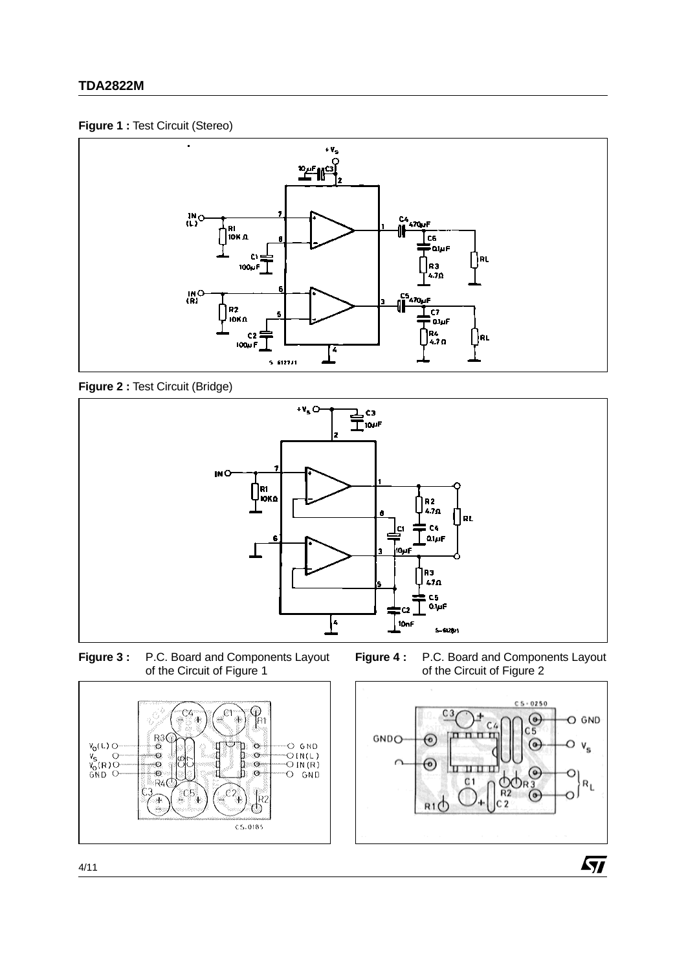## **TDA2822M**

### **Figure 1 :** Test Circuit (Stereo)



**Figure 2 :** Test Circuit (Bridge)



**Figure 3 :** P.C. Board and Components Layout of the Circuit of Figure 1

**Figure 4 :** P.C. Board and Components Layout of the Circuit of Figure 2





 $\sqrt{2}$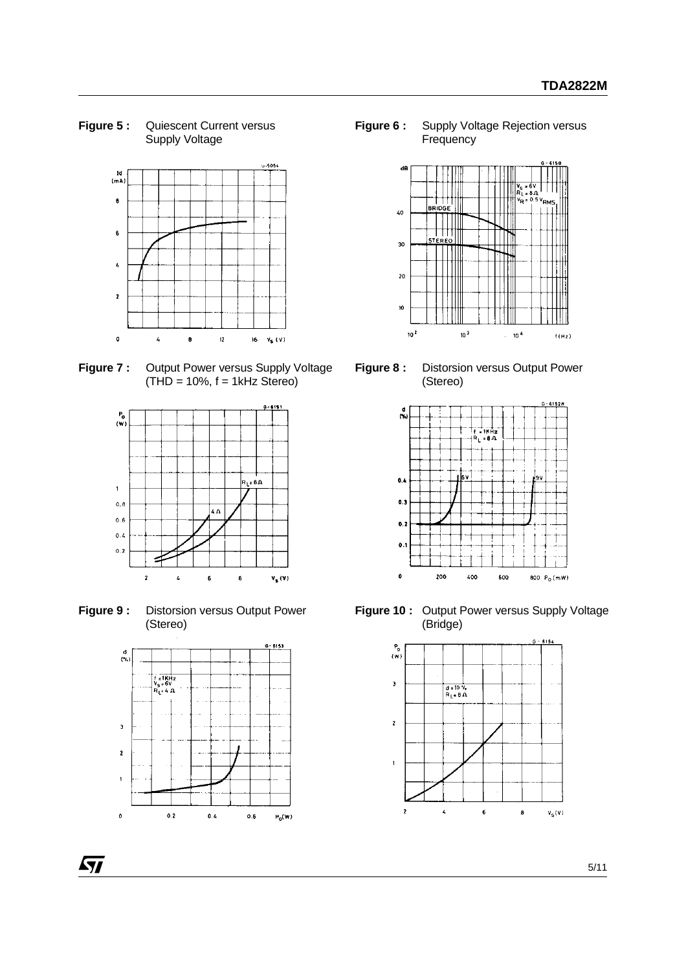**Figure 5 :** Quiescent Current versus Supply Voltage



**Figure 7 :** Output Power versus Supply Voltage  $(THD = 10\%, f = 1kHz$  Stereo)



**Figure 9 :** Distorsion versus Output Power (Stereo)



Г

**Figure 6 :** Supply Voltage Rejection versus **Frequency** 



**Figure 8 :** Distorsion versus Output Power (Stereo)



**Figure 10 :** Output Power versus Supply Voltage (Bridge)

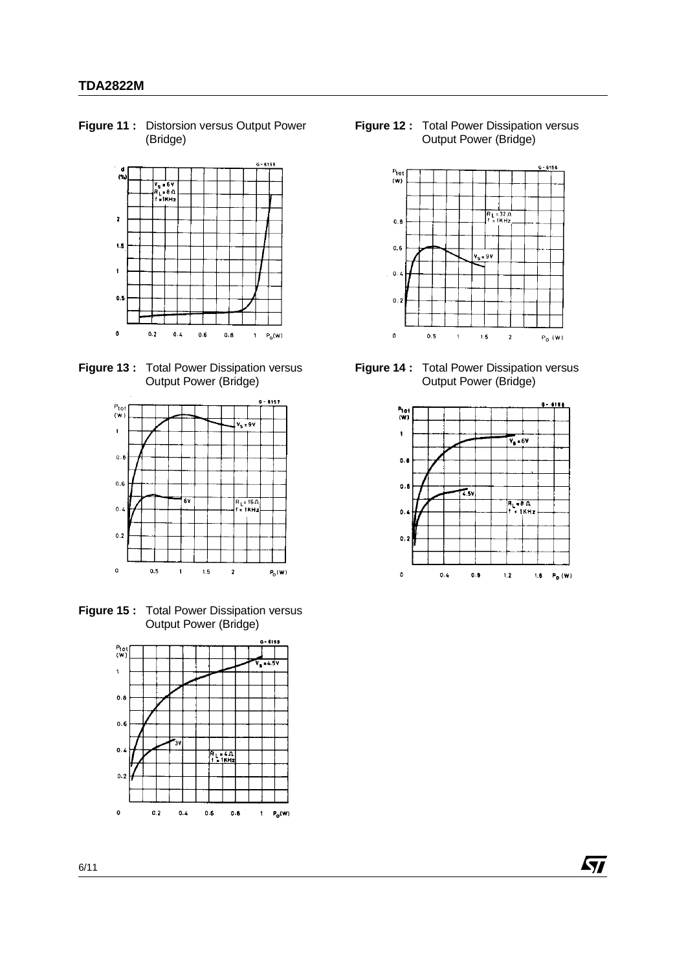**Figure 11 :** Distorsion versus Output Power (Bridge)



**Figure 13 :** Total Power Dissipation versus Output Power (Bridge)



**Figure 15 :** Total Power Dissipation versus Output Power (Bridge)



**Figure 12 :** Total Power Dissipation versus Output Power (Bridge)



**Figure 14 :** Total Power Dissipation versus Output Power (Bridge)



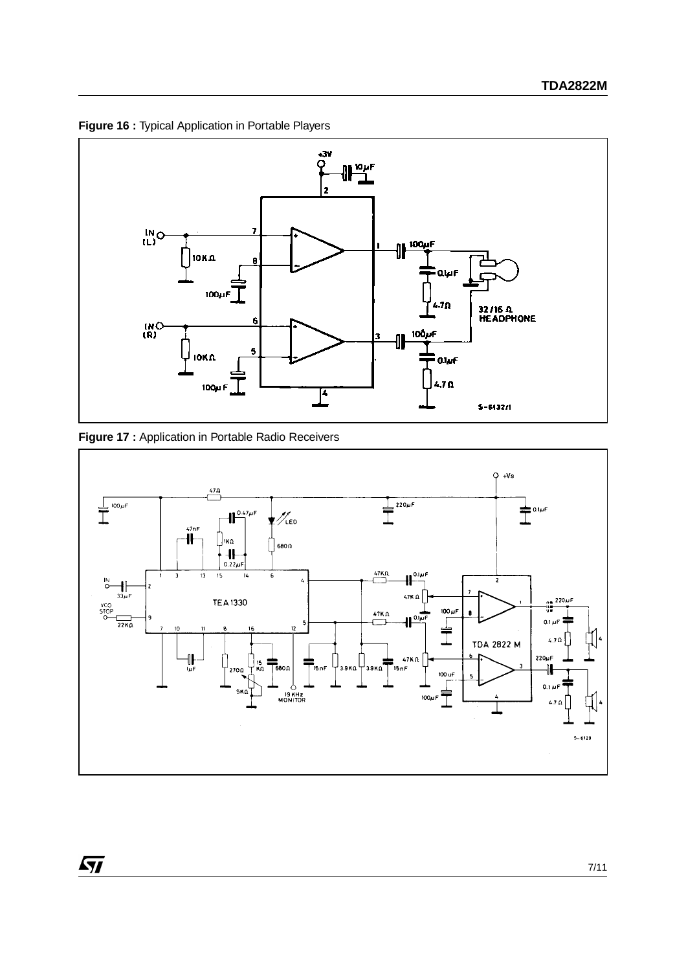

**Figure 16 :** Typical Application in Portable Players



 $\sqrt{M}$ 

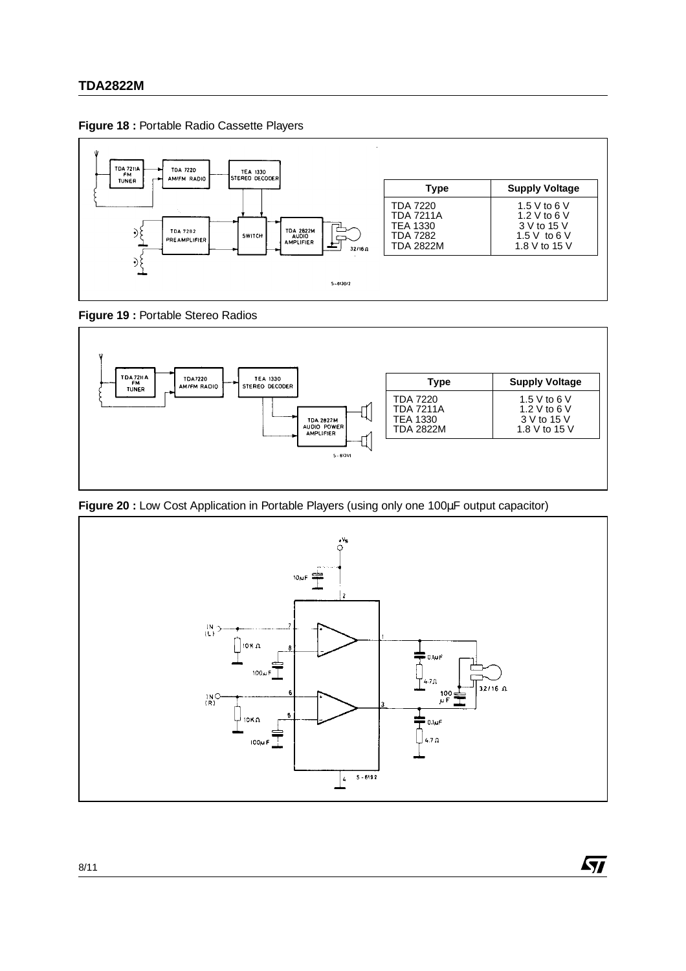



**Figure 19 :** Portable Stereo Radios



**Figure 20 :** Low Cost Application in Portable Players (using only one 100µF output capacitor)



ky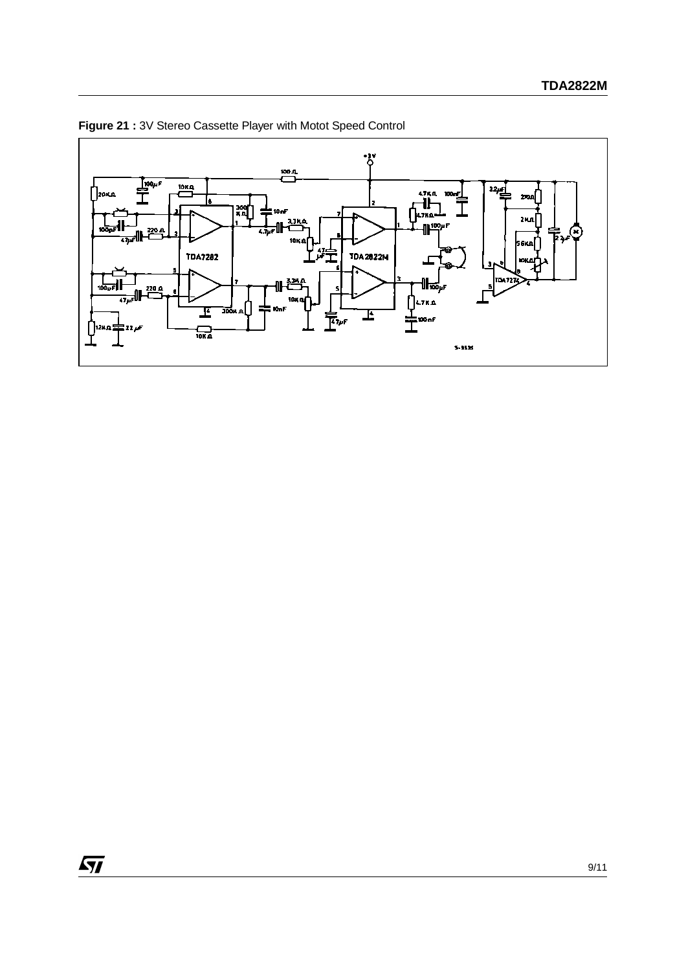

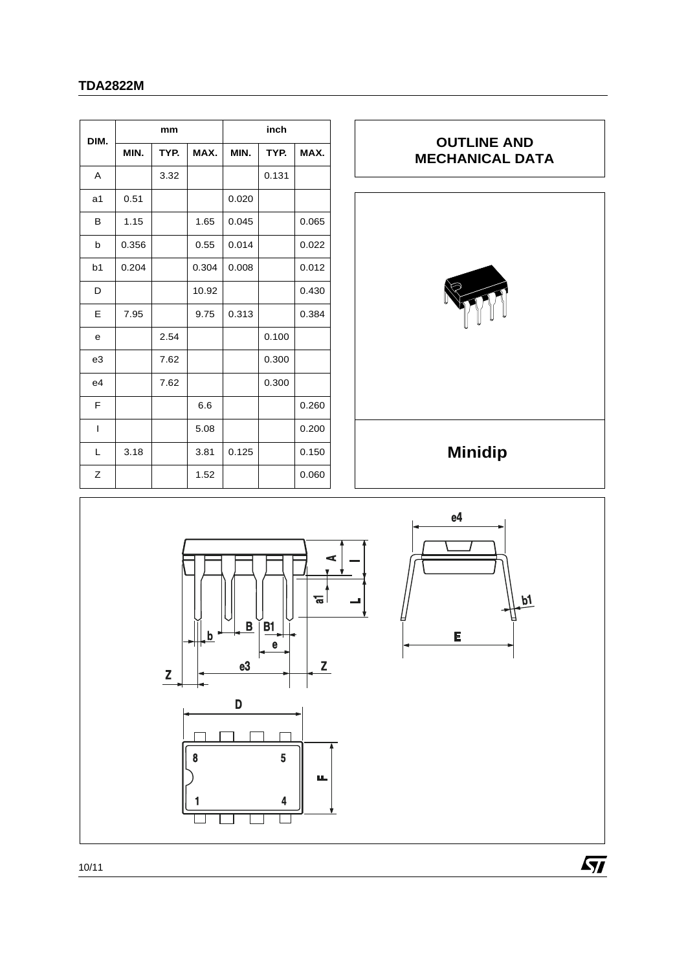## **TDA2822M**

|                | mm    |      |       | inch  |       |       |  |
|----------------|-------|------|-------|-------|-------|-------|--|
| DIM.           | MIN.  | TYP. | MAX.  | MIN.  | TYP.  | MAX.  |  |
| A              |       | 3.32 |       |       | 0.131 |       |  |
| a1             | 0.51  |      |       | 0.020 |       |       |  |
| в              | 1.15  |      | 1.65  | 0.045 |       | 0.065 |  |
| b              | 0.356 |      | 0.55  | 0.014 |       | 0.022 |  |
| b <sub>1</sub> | 0.204 |      | 0.304 | 0.008 |       | 0.012 |  |
| D              |       |      | 10.92 |       |       | 0.430 |  |
| E              | 7.95  |      | 9.75  | 0.313 |       | 0.384 |  |
| e              |       | 2.54 |       |       | 0.100 |       |  |
| e3             |       | 7.62 |       |       | 0.300 |       |  |
| e4             |       | 7.62 |       |       | 0.300 |       |  |
| F              |       |      | 6.6   |       |       | 0.260 |  |
| $\overline{1}$ |       |      | 5.08  |       |       | 0.200 |  |
| L              | 3.18  |      | 3.81  | 0.125 |       | 0.150 |  |
| Z              |       |      | 1.52  |       |       | 0.060 |  |



 $\sqrt{27}$ 



10/11